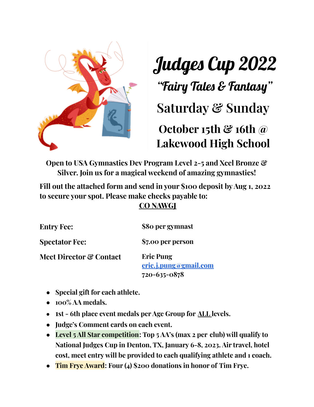

## Judges Cup 2022

"Fairy Tales & Fantasy "

**Saturday & Sunday**

## **October 15th & 16th @ Lakewood High School**

**Open to USA Gymnastics Dev Program Level 2-5 and Xcel Bronze & Silver. Join us for a magical weekend of amazing gymnastics!**

**Fill out the attached form and send in your \$100 deposit byAug 1, 2022 to secure your spot. Please make checks payable to:**

## **CO NAWGJ**

| <b>Entry Fee:</b>                  | \$80 per gymnast                          |  |
|------------------------------------|-------------------------------------------|--|
| <b>Spectator Fee:</b>              | \$7.00 per person                         |  |
| <b>Meet Director &amp; Contact</b> | <b>Eric Pung</b><br>eric.j.pung@gmail.com |  |
|                                    | 720-635-0878                              |  |

- **● Special gift for each athlete.**
- **● 100% AA medals.**
- **● 1st - 6th place event medals per Age Group for ALL levels.**
- **● Judge's Comment cards on each event.**
- **Level 5 All Star competition: Top 5 AA's (max 2 per club) will qualify to National Judges Cup in Denton, TX, January 6-8, 2023. Air travel, hotel cost, meet entry will be provided to each qualifying athlete and 1 coach.**
- **● Tim Frye Award: Four (4) \$200 donations in honor of Tim Frye.**